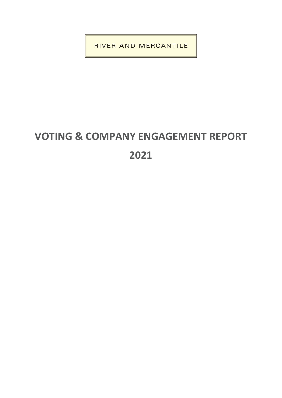RIVER AND MERCANTILE

# **VOTING & COMPANY ENGAGEMENT REPORT 2021**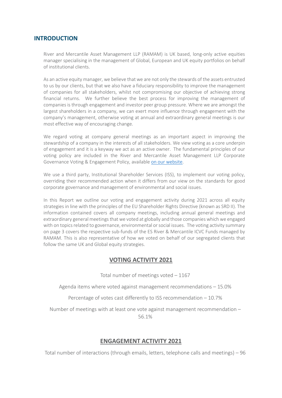# **INTRODUCTION**

River and Mercantile Asset Management LLP (RAMAM) is UK based, long-only active equities manager specialising in the management of Global, European and UK equity portfolios on behalf of institutional clients.

As an active equity manager, we believe that we are not only the stewards of the assets entrusted to us by our clients, but that we also have a fiduciary responsibility to improve the management of companies for all stakeholders, whilst not compromising our objective of achieving strong financial returns. We further believe the best process for improving the management of companies is through engagement and investor peer group pressure. Where we are amongst the largest shareholders in a company, we can exert more influence through engagement with the company's management, otherwise voting at annual and extraordinary general meetings is our most effective way of encouraging change.

We regard voting at company general meetings as an important aspect in improving the stewardship of a company in the interests of all stakeholders. We view voting as a core underpin of engagement and it is a keyway we act as an active owner. The fundamental principles of our voting policy are included in the River and Mercantile Asset Management LLP Corporate Governance Voting & Engagement Policy, available [on our website.](https://riverandmercantile.com/wp-content/uploads/2021/11/Tier-3-RAMAM-Voting-and-Engagement-Policy.pdf) 

We use a third party, Institutional Shareholder Services (ISS), to implement our voting policy, overriding their recommended action when it differs from our view on the standards for good corporate governance and management of environmental and social issues.

In this Report we outline our voting and engagement activity during 2021 across all equity strategies in line with the principles of the EU Shareholder Rights Directive (known as SRD II). The information contained covers all company meetings, including annual general meetings and extraordinary general meetings that we voted at globally and those companies which we engaged with on topics related to governance, environmental or social issues. The voting activity summary on page 3 covers the respective sub-funds of the ES River & Mercantile ICVC Funds managed by RAMAM. This is also representative of how we voted on behalf of our segregated clients that follow the same UK and Global equity strategies.

# **VOTING ACTIVITY 2021**

Total number of meetings voted – 1167

Agenda items where voted against management recommendations – 15.0%

Percentage of votes cast differently to ISS recommendation – 10.7%

Number of meetings with at least one vote against management recommendation – 56.1%

# **ENGAGEMENT ACTIVITY 2021**

Total number of interactions (through emails, letters, telephone calls and meetings) – 96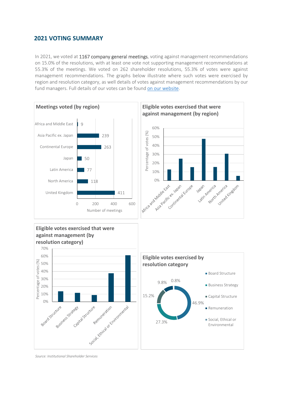# **2021 VOTING SUMMARY**

In 2021, we voted at 1167 company general meetings, voting against management recommendations on 15.0% of the resolutions, with at least one vote not supporting management recommendations at 55.3% of the meetings. We voted on 262 shareholder resolutions, 55.3% of votes were against management recommendations. The graphs below illustrate where such votes were exercised by region and resolution category, as well details of votes against management recommendations by our fund managers. Full details of our votes can be found [on our website.](https://riverandmercantile.com/responsible-investment/voting-and-engagement/#howWeVoted)



*Source: Institutional Shareholder Services*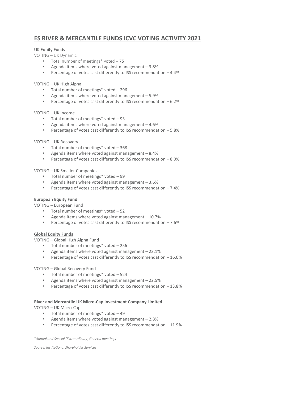# **ES RIVER & MERCANTILE FUNDS ICVC VOTING ACTIVITY 2021**

#### UK Equity Funds

VOTING – UK Dynamic

- Total number of meetings\* voted 75
- Agenda items where voted against management 3.8%
- Percentage of votes cast differently to ISS recommendation 4.4%

#### VOTING – UK High Alpha

- Total number of meetings\* voted 296
- Agenda items where voted against management 5.9%
- Percentage of votes cast differently to ISS recommendation 6.2%

#### VOTING – UK Income

- Total number of meetings\* voted 93
- Agenda items where voted against management  $-4.6%$
- Percentage of votes cast differently to ISS recommendation 5.8%

#### VOTING – UK Recovery

- Total number of meetings\* voted 368
- Agenda items where voted against management 8.4%
- Percentage of votes cast differently to ISS recommendation 8.0%

#### VOTING – UK Smaller Companies

- Total number of meetings\* voted 99
- Agenda items where voted against management 3.6%
- Percentage of votes cast differently to ISS recommendation 7.4%

#### **European Equity Fund**

VOTING – European Fund

- Total number of meetings\* voted 52
- Agenda items where voted against management  $-10.7%$
- Percentage of votes cast differently to ISS recommendation 7.6%

#### **Global Equity Funds**

VOTING – Global High Alpha Fund

- Total number of meetings\* voted 256
- Agenda items where voted against management 23.1%
- Percentage of votes cast differently to ISS recommendation 16.0%

#### VOTING – Global Recovery Fund

- Total number of meetings\* voted 524
- Agenda items where voted against management 22.5%
- Percentage of votes cast differently to ISS recommendation 13.8%

#### **River and Mercantile UK Micro-Cap Investment Company Limited**

VOTING – UK Micro-Cap

- Total number of meetings\* voted 49
- Agenda items where voted against management 2.8%
- Percentage of votes cast differently to ISS recommendation 11.9%

\**Annual and Special (Extraordinary) General meetings* 

*Source: Institutional Shareholder Services*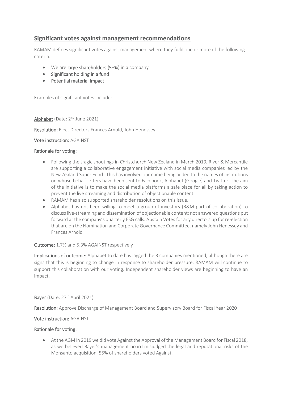# **Significant votes against management recommendations**

RAMAM defines significant votes against management where they fulfil one or more of the following criteria:

- We are large shareholders (5+%) in a company
- Significant holding in a fund
- Potential material impact.

Examples of significant votes include:

Alphabet (Date: 2<sup>nd</sup> June 2021)

Resolution: Elect Directors Frances Arnold, John Henessey

#### Vote instruction: AGAINST

#### Rationale for voting:

- Following the tragic shootings in Christchurch New Zealand in March 2019, River & Mercantile are supporting a collaborative engagement initiative with social media companies led by the New Zealand Super Fund. This has involved our name being added to the names of institutions on whose behalf letters have been sent to Facebook, Alphabet (Google) and Twitter. The aim of the initiative is to make the social media platforms a safe place for all by taking action to prevent the live streaming and distribution of objectionable content.
- RAMAM has also supported shareholder resolutions on this issue.
- Alphabet has not been willing to meet a group of investors (R&M part of collaboration) to discuss live-streaming and dissemination of objectionable content; not answered questions put forward at the company's quarterly ESG calls. Abstain Votes for any directors up for re-election that are on the Nomination and Corporate Governance Committee, namely John Henessey and Frances Arnold

## Outcome: 1.7% and 5.3% AGAINST respectively

Implications of outcome: Alphabet to date has lagged the 3 companies mentioned, although there are signs that this is beginning to change in response to shareholder pressure. RAMAM will continue to support this collaboration with our voting. Independent shareholder views are beginning to have an impact.

#### Bayer (Date: 27<sup>th</sup> April 2021)

Resolution: Approve Discharge of Management Board and Supervisory Board for Fiscal Year 2020

#### Vote instruction: AGAINST

#### Rationale for voting:

• At the AGM in 2019 we did vote Against the Approval of the Management Board for Fiscal 2018, as we believed Bayer's management board misjudged the legal and reputational risks of the Monsanto acquisition. 55% of shareholders voted Against.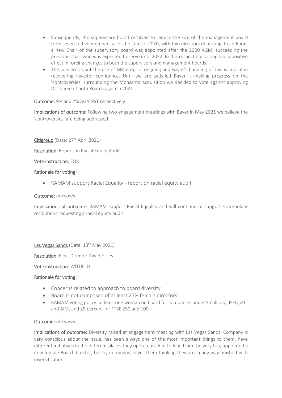- Subsequently, the supervisory board resolved to reduce the size of the management board from seven to five members as of the start of 2020, with two directors departing. In addition, a new Chair of the supervisory board was appointed after the 2020 AGM, succeeding the previous Chair who was expected to serve until 2022. In this respect our voting had a positive effect in forcing changes to both the supervisory and management boards.
- The concern about the use of GM crops is ongoing and Bayer's handling of this is crucial in recovering investor confidence. Until we are satisfied Bayer is making progress on the 'controversies' surrounding the Monsanto acquisition we decided to vote against approving Discharge of both Boards again in 2021

#### Outcome: 9% and 7% AGAINST respectively

Implications of outcome: Following two engagement meetings with Bayer in May 2021 we believe the 'controversies' are being addressed

Citigroup (Date: 27<sup>th</sup> April 2021)

Resolution: Report on Racial Equity Audit

Vote instruction: FOR

#### Rationale for voting:

• RAMAM support Racial Equality - report on racial equity audit

#### Outcome: *unknown*

Implications of outcome: RAMAM support Racial Equality and will continue to support shareholder resolutions requesting a racial equity audit

Las Vegas Sands (Date: 13<sup>th</sup> May 2021)

Resolution: Elect Director David F. Levi

Vote instruction: WITHELD

#### Rationale for voting:

- Concerns related to approach to board diversity
- Board is not composed of at least 25% female directors
- RAMAM voting policy: at least one woman on board for companies under Small Cap, ISEQ 20 and AIM, and 25 percent for FTSE 250 and 100.

#### Outcome: *unknown*

Implications of outcome: Diversity raised at engagement meeting with Las Vegas Sands. Company is very conscious about the issue, has been always one of the most important things to them, have different initiatives in the different places they operate in. Aim to lead from the very top, appointed a new female Board director, but by no means leaves them thinking they are in any way finished with diversification.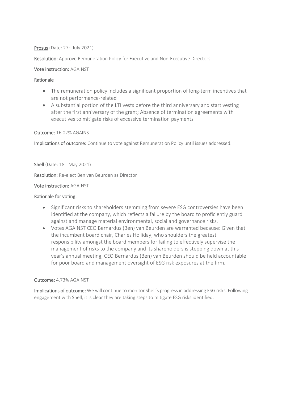#### Prosus (Date:  $27<sup>th</sup>$  July 2021)

Resolution: Approve Remuneration Policy for Executive and Non-Executive Directors

#### Vote instruction: AGAINST

#### Rationale

- The remuneration policy includes a significant proportion of long-term incentives that are not performance-related
- A substantial portion of the LTI vests before the third anniversary and start vesting after the first anniversary of the grant; Absence of termination agreements with executives to mitigate risks of excessive termination payments

Outcome: 16.02% AGAINST

Implications of outcome: Continue to vote against Remuneration Policy until issues addressed.

#### Shell (Date:  $18<sup>th</sup>$  May 2021)

Resolution: Re-elect Ben van Beurden as Director

#### Vote instruction: AGAINST

#### Rationale for voting:

- Significant risks to shareholders stemming from severe ESG controversies have been identified at the company, which reflects a failure by the board to proficiently guard against and manage material environmental, social and governance risks.
- Votes AGAINST CEO Bernardus (Ben) van Beurden are warranted because: Given that the incumbent board chair, Charles Holliday, who shoulders the greatest responsibility amongst the board members for failing to effectively supervise the management of risks to the company and its shareholders is stepping down at this year's annual meeting, CEO Bernardus (Ben) van Beurden should be held accountable for poor board and management oversight of ESG risk exposures at the firm.

#### Outcome: 4.73% AGAINST

Implications of outcome: We will continue to monitor Shell's progress in addressing ESG risks. Following engagement with Shell, it is clear they are taking steps to mitigate ESG risks identified.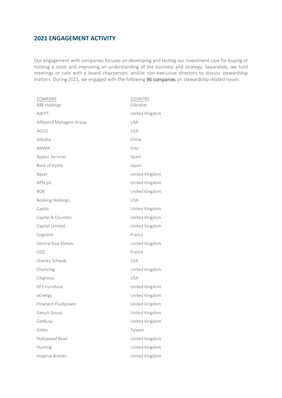# **2021 ENGAGEMENT ACTIVITY**

Our engagement with companies focuses on developing and testing our investment case for buying or holding a stock and improving an understanding of the business and strategy. Separately, we hold meetings or calls with a board chairperson, and/or non-executive directors to discuss stewardship matters. During 2021, we engaged with the following 96 companies on stewardship related issues.

| <b>COMPANY</b><br>888 Holdings | <b>COUNTRY</b><br>Gibralter |
|--------------------------------|-----------------------------|
| AdEPT                          | United Kingdom              |
| Affiliated Managers Group      | <b>USA</b>                  |
| AGCO                           | <b>USA</b>                  |
| Alibaba                        | China                       |
| <b>ANIMA</b>                   | Italy                       |
| Applus Services                | Spain                       |
| Bank of Kyoto                  | Japan                       |
| Bayer                          | United Kingdom              |
| Biffa plc                      | United Kingdom              |
| <b>BOK</b>                     | United Kingdom              |
| <b>Booking Holdings</b>        | <b>USA</b>                  |
| Capita                         | United Kingdom              |
| Capital & Counties             | United Kingdom              |
| Capital Limited                | United Kingdom              |
| Cegedim                        | France                      |
| Central Asia Metals            | United Kingdom              |
| CGG                            | France                      |
| Charles Schwab                 | <b>USA</b>                  |
| Chemring                       | United Kingdom              |
| Citigroup                      | <b>USA</b>                  |
| <b>DFS Furniture</b>           | United Kingdom              |
| eEnergy                        | United Kingdom              |
| Flowtech Fluidpower            | United Kingdom              |
| Genuit Group                   | United Kingdom              |
| GetBusy                        | United Kingdom              |
| Ginko                          | Taiwan                      |
| Hollywood Bowl                 | United Kingdom              |
| Hunting                        | United Kingdom              |
| Imperial Brands                | United Kingdom              |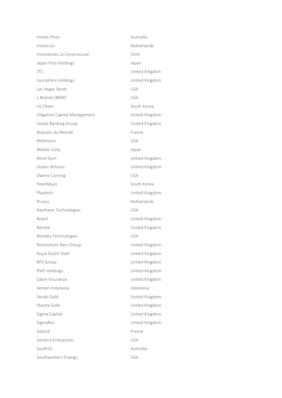Incitec Pivot **Australia** Intertrust **Netherlands** Inversiones La Construccion Chile Japan Post Holdings **Japan** JTC United Kingdom Lancashire Holdings **Exercise State Control** United Kingdom Las Vegas Sands USA L-Brands (BBW) USA LG Chem South Korea Litigation Capital Management **Fig. 1** United Kingdom Lloyds Banking Group United Kingdom Maisons du Monde France McKesson USA Meitec Corp **Japan** Mind Gym United Kingdom Ocean Wilsons United Kingdom Owens Corning USA PearlAbyss South Korea Playtech **United Kingdom** Prosus **Netherlands** Raytheon Technologies **Example 2018** Reach **National Community Community** Point United Kingdom Renold United Kingdom Resideo Technologies VSA Revolutions Bars Group Communications Bars Group Royal Dutch Shell **National Community** United Kingdom RPS Group **Contract Contract Contract Contract Contract Contract Contract Contract Contract Contract Contract Contract Contract Contract Contract Contract Contract Contract Contract Contract Contract Contract Contract Cont** RWS Holdings United Kingdom Sabre Insurance **Victor** Controller Manual Muslim United Kingdom Semen Indonesia **Indonesia** Serabi Gold **Contact Contact Contact Contact Contact Contact Contact Contact Contact Contact Contact Contact Contact Contact Contact Contact Contact Contact Contact Contact Contact Contact Contact Contact Contact Contact C** Shanta Gold United Kingdom Sigma Capital United Kingdom SigmaRoc United Kingdom Solocal France Somero Enterprises VSA South32 Australia Southwestern Energy **WASHALL**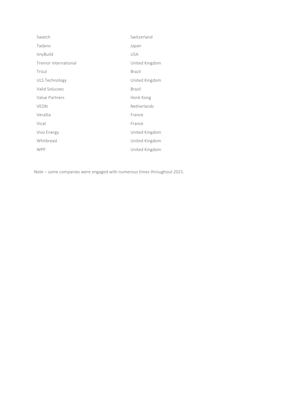| Swatch               | Switzerland    |
|----------------------|----------------|
| Tadano               | Japan          |
| tinyBuild            | <b>USA</b>     |
| Tremor International | United Kingdom |
| Trisul               | <b>Brazil</b>  |
| ULS Technology       | United Kingdom |
| Valid Solucoes       | <b>Brazil</b>  |
| Value Partners       | Honk Kong      |
| <b>VEON</b>          | Netherlands    |
| Verallia             | France         |
| Vicat                | France         |
| Vivo Energy          | United Kingdom |
| Whitbread            | United Kingdom |
| <b>WPP</b>           | United Kingdom |

Note – some companies were engaged with numerous times throughout 2021.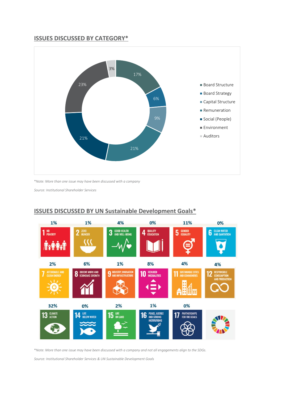# **ISSUES DISCUSSED BY CATEGORY\***



\**Note: More than one issue may have been discussed with a company*

*Source: Institutional Shareholder Services*



# **ISSUES DISCUSSED BY UN Sustainable Development Goals\***

\**Note: More than one issue may have been discussed with a company and not all engagements align to the SDGs.*

*Source: Institutional Shareholder Services & UN Sustainable Development Goals*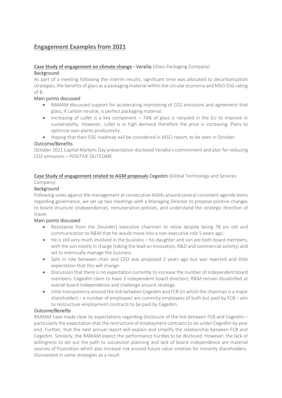# **Engagement Examples from 2021**

## **Case Study of engagement on climate change -** Verallia (Glass Packaging Company) **Background**

As part of a meeting following the interim results, significant time was allocated to decarbonization strategies, the benefits of glass as a packaging material within the circular economy and MSCI ESG rating of B.

## Main points discussed

- RAMAM discussed support for accelerating monitoring of CO2 emissions and agreement that glass, if carbon neutral, is perfect packaging material.
- Increasing of cullet is a key component 74% of glass is recycled in the EU to improve in sustainability. However, cullet is in high demand therefore the price is increasing. Plans to optimize own plants productivity.
- Hoping that their ESG roadmap will be considered in MSCI report, to be seen in October.

## Outcome/Benefits

October 2021 Capital Markets Day presentation disclosed Verallia's commitment and plan for reducing CO2 emissions – POSITIVE OUTCOME

# **Case Study of engagement related to AGM proposals** Cegedim (Global Technology and Services Company)

## Background

Following votes against the management at consecutive AGMs around several consistent agenda items regarding governance, we set up two meetings with a Managing Director to propose positive changes to board structure (independence), remuneration policies, and understand the strategic direction of travel.

## Main points discussed

- Resistance from the (founder) executive chairman to retire despite being 78 yrs old and communication to R&M that he would move into a non-executive role 5 years ago.
- He is still very much involved in the business his daughter and son are both board members, with the son mostly in charge (taking the lead on innovation, R&D and commercial activity) and set to eventually manage the business.
- Split in role between chair and CEO was proposed 2 years ago but was rejected and little expectation that this will change.
- Discussion that there is no expectation currently to increase the number of independent board members. Cegedim claim to have 3 independent board directors; R&M remain dissatisfied at overall board independence and challenge around strategy.
- Little transparency around the link between Cegedim and FCB (in which the chairman is a major shareholder) – a number of employees are currently employees of both but paid by FCB – aim to restructure employment contracts to be paid by Cegedim.

## Outcome/Benefits

RAMAM have made clear its expectations regarding disclosure of the link between FCB and Cegedim – particularly the expectation that the restructure of employment contracts to be under Cegedim by year end. Further, that the next annual report will explain and simplify the relationship between FCB and Cegedim. Similarly, the RAMAM expect the performance hurdles to be disclosed. However, the lack of willingness to set out the path to succession planning and lack of board independence are material sources of frustration which also increase risk around future value creation for minority shareholders. Disinvested in some strategies as a result.